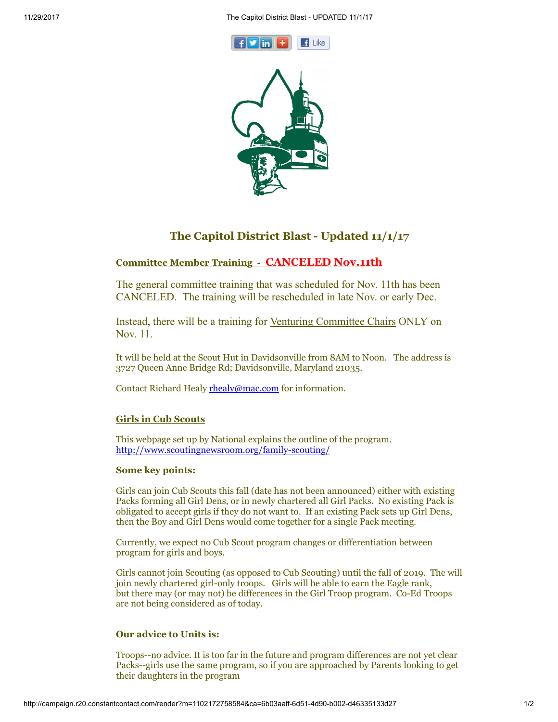



# The Capitol District Blast - Updated 11/1/17

## Committee Member Training - CANCELED Nov.11th

The general committee training that was scheduled for Nov. 11th has been CANCELED. The training will be rescheduled in late Nov. or early Dec.

Instead, there will be a training for Venturing Committee Chairs ONLY on Nov. 11.

It will be held at the Scout Hut in Davidsonville from 8AM to Noon. The address is 3727 Queen Anne Bridge Rd; Davidsonville, Maryland 21035.

Contact Richard Healy [rhealy@mac.com](mailto:rhealy@mac.com) for information.

### Girls in Cub Scouts

This webpage set up by National explains the outline of the program. <http://www.scoutingnewsroom.org/family-scouting/>

### Some key points:

Girls can join Cub Scouts this fall (date has not been announced) either with existing Packs forming all Girl Dens, or in newly chartered all Girl Packs. No existing Pack is obligated to accept girls if they do not want to. If an existing Pack sets up Girl Dens, then the Boy and Girl Dens would come together for a single Pack meeting.

Currently, we expect no Cub Scout program changes or differentiation between program for girls and boys.

Girls cannot join Scouting (as opposed to Cub Scouting) until the fall of 2019. The will join newly chartered girl-only troops. Girls will be able to earn the Eagle rank, but there may (or may not) be differences in the Girl Troop program. Co-Ed Troops are not being considered as of today.

### Our advice to Units is:

Troops--no advice. It is too far in the future and program differences are not yet clear Packs--girls use the same program, so if you are approached by Parents looking to get their daughters in the program